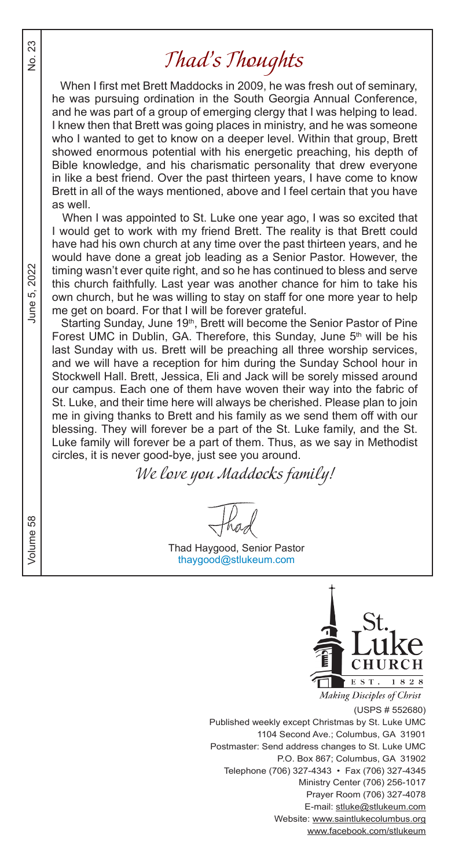## *Thad's Thoughts*

 When I first met Brett Maddocks in 2009, he was fresh out of seminary, he was pursuing ordination in the South Georgia Annual Conference, and he was part of a group of emerging clergy that I was helping to lead. I knew then that Brett was going places in ministry, and he was someone who I wanted to get to know on a deeper level. Within that group, Brett showed enormous potential with his energetic preaching, his depth of Bible knowledge, and his charismatic personality that drew everyone in like a best friend. Over the past thirteen years, I have come to know Brett in all of the ways mentioned, above and I feel certain that you have as well.

 When I was appointed to St. Luke one year ago, I was so excited that I would get to work with my friend Brett. The reality is that Brett could have had his own church at any time over the past thirteen years, and he would have done a great job leading as a Senior Pastor. However, the timing wasn't ever quite right, and so he has continued to bless and serve this church faithfully. Last year was another chance for him to take his own church, but he was willing to stay on staff for one more year to help me get on board. For that I will be forever grateful.

Starting Sunday, June 19<sup>th</sup>, Brett will become the Senior Pastor of Pine Forest UMC in Dublin, GA. Therefore, this Sunday, June 5<sup>th</sup> will be his last Sunday with us. Brett will be preaching all three worship services, and we will have a reception for him during the Sunday School hour in Stockwell Hall. Brett, Jessica, Eli and Jack will be sorely missed around our campus. Each one of them have woven their way into the fabric of St. Luke, and their time here will always be cherished. Please plan to join me in giving thanks to Brett and his family as we send them off with our blessing. They will forever be a part of the St. Luke family, and the St. Luke family will forever be a part of them. Thus, as we say in Methodist circles, it is never good-bye, just see you around.

*We love you Maddocks family!*

Thad Haygood, Senior Pastor thaygood@stlukeum.com



**Making Disciples of Christ** 

(USPS # 552680) Published weekly except Christmas by St. Luke UMC 1104 Second Ave.; Columbus, GA 31901 Postmaster: Send address changes to St. Luke UMC P.O. Box 867; Columbus, GA 31902 Telephone (706) 327-4343 • Fax (706) 327-4345 Ministry Center (706) 256-1017 Prayer Room (706) 327-4078 E-mail: stluke@stlukeum.com Website: www.saintlukecolumbus.org www.facebook.com/stlukeum

Volume 58  $V$ 2022 ιó. June!

58

Volume

23  $\frac{1}{2}$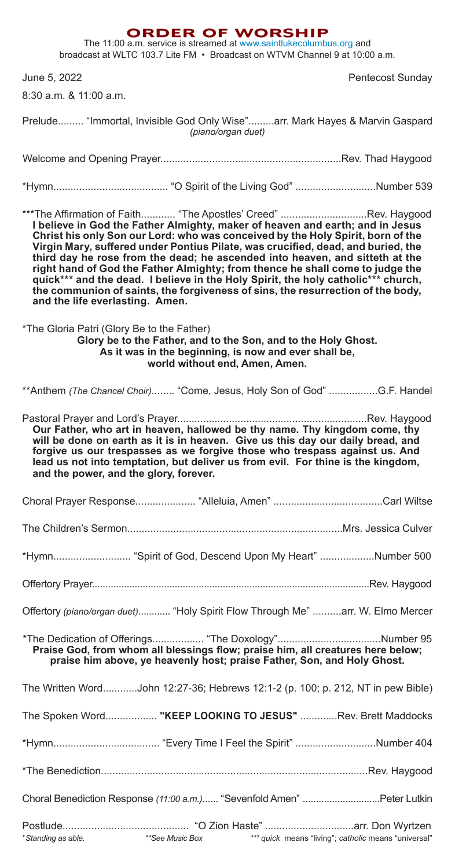#### **ORDER OF WORSHIP**

The 11:00 a.m. service is streamed at www.saintlukecolumbus.org and broadcast at WLTC 103.7 Lite FM • Broadcast on WTVM Channel 9 at 10:00 a.m.

June 5, 2022 **Pentecost Sunday** 

8:30 a.m. & 11:00 a.m.

| Prelude "Immortal, Invisible God Only Wise"arr. Mark Hayes & Marvin Gaspard                                                                                                                                                                                                                                                                                                                                                                                                                                                                                                                                                                                                                        | (piano/organ duet)             |                                                                                                                         |                                                      |
|----------------------------------------------------------------------------------------------------------------------------------------------------------------------------------------------------------------------------------------------------------------------------------------------------------------------------------------------------------------------------------------------------------------------------------------------------------------------------------------------------------------------------------------------------------------------------------------------------------------------------------------------------------------------------------------------------|--------------------------------|-------------------------------------------------------------------------------------------------------------------------|------------------------------------------------------|
|                                                                                                                                                                                                                                                                                                                                                                                                                                                                                                                                                                                                                                                                                                    |                                |                                                                                                                         |                                                      |
|                                                                                                                                                                                                                                                                                                                                                                                                                                                                                                                                                                                                                                                                                                    |                                |                                                                                                                         |                                                      |
| ***The Affirmation of Faith "The Apostles' Creed" Rev. Haygood<br>I believe in God the Father Almighty, maker of heaven and earth; and in Jesus<br>Christ his only Son our Lord: who was conceived by the Holy Spirit, born of the<br>Virgin Mary, suffered under Pontius Pilate, was crucified, dead, and buried, the<br>third day he rose from the dead; he ascended into heaven, and sitteth at the<br>right hand of God the Father Almighty; from thence he shall come to judge the<br>quick*** and the dead. I believe in the Holy Spirit, the holy catholic*** church,<br>the communion of saints, the forgiveness of sins, the resurrection of the body,<br>and the life everlasting. Amen. |                                |                                                                                                                         |                                                      |
| *The Gloria Patri (Glory Be to the Father)                                                                                                                                                                                                                                                                                                                                                                                                                                                                                                                                                                                                                                                         | world without end, Amen, Amen. | Glory be to the Father, and to the Son, and to the Holy Ghost.<br>As it was in the beginning, is now and ever shall be, |                                                      |
| ** Anthem (The Chancel Choir) "Come, Jesus, Holy Son of God" G.F. Handel                                                                                                                                                                                                                                                                                                                                                                                                                                                                                                                                                                                                                           |                                |                                                                                                                         |                                                      |
| Our Father, who art in heaven, hallowed be thy name. Thy kingdom come, thy<br>will be done on earth as it is in heaven. Give us this day our daily bread, and<br>forgive us our trespasses as we forgive those who trespass against us. And<br>lead us not into temptation, but deliver us from evil. For thine is the kingdom,<br>and the power, and the glory, forever.                                                                                                                                                                                                                                                                                                                          |                                |                                                                                                                         |                                                      |
|                                                                                                                                                                                                                                                                                                                                                                                                                                                                                                                                                                                                                                                                                                    |                                |                                                                                                                         |                                                      |
|                                                                                                                                                                                                                                                                                                                                                                                                                                                                                                                                                                                                                                                                                                    |                                |                                                                                                                         |                                                      |
| *Hymn "Spirit of God, Descend Upon My Heart" Number 500                                                                                                                                                                                                                                                                                                                                                                                                                                                                                                                                                                                                                                            |                                |                                                                                                                         |                                                      |
|                                                                                                                                                                                                                                                                                                                                                                                                                                                                                                                                                                                                                                                                                                    |                                |                                                                                                                         |                                                      |
| Offertory (piano/organ duet) "Holy Spirit Flow Through Me" arr. W. Elmo Mercer                                                                                                                                                                                                                                                                                                                                                                                                                                                                                                                                                                                                                     |                                |                                                                                                                         |                                                      |
| Praise God, from whom all blessings flow; praise him, all creatures here below;                                                                                                                                                                                                                                                                                                                                                                                                                                                                                                                                                                                                                    |                                | praise him above, ye heavenly host; praise Father, Son, and Holy Ghost.                                                 |                                                      |
| The Written WordJohn 12:27-36; Hebrews 12:1-2 (p. 100; p. 212, NT in pew Bible)                                                                                                                                                                                                                                                                                                                                                                                                                                                                                                                                                                                                                    |                                |                                                                                                                         |                                                      |
| The Spoken Word "KEEP LOOKING TO JESUS" Rev. Brett Maddocks                                                                                                                                                                                                                                                                                                                                                                                                                                                                                                                                                                                                                                        |                                |                                                                                                                         |                                                      |
|                                                                                                                                                                                                                                                                                                                                                                                                                                                                                                                                                                                                                                                                                                    |                                |                                                                                                                         |                                                      |
|                                                                                                                                                                                                                                                                                                                                                                                                                                                                                                                                                                                                                                                                                                    |                                |                                                                                                                         |                                                      |
| Choral Benediction Response (11:00 a.m.) "Sevenfold Amen" Peter Lutkin                                                                                                                                                                                                                                                                                                                                                                                                                                                                                                                                                                                                                             |                                |                                                                                                                         |                                                      |
| *Standing as able. ***See Music Box                                                                                                                                                                                                                                                                                                                                                                                                                                                                                                                                                                                                                                                                |                                |                                                                                                                         | *** quick means "living"; catholic means "universal" |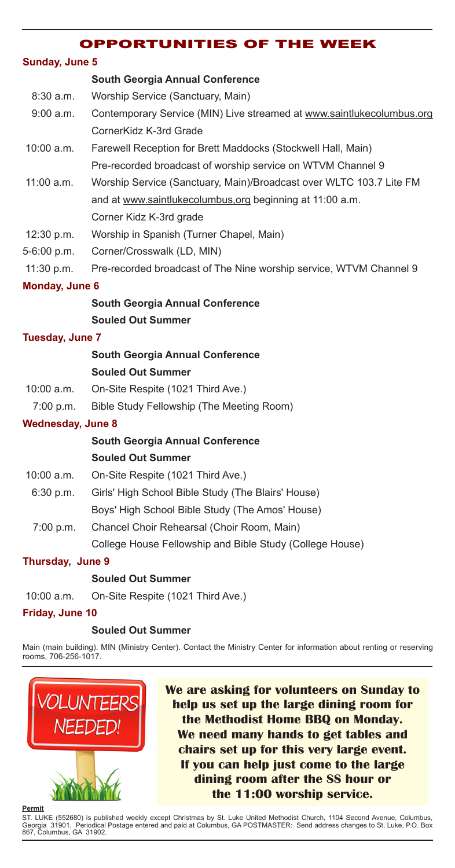#### OPPORTUNITIES OF THE WEEK

#### **Sunday, June 5**

#### **South Georgia Annual Conference**

- 8:30 a.m. Worship Service (Sanctuary, Main)
- 9:00 a.m. Contemporary Service (MIN) Live streamed at www.saintlukecolumbus.org CornerKidz K-3rd Grade
- 10:00 a.m. Farewell Reception for Brett Maddocks (Stockwell Hall, Main) Pre-recorded broadcast of worship service on WTVM Channel 9
- 11:00 a.m. Worship Service (Sanctuary, Main)/Broadcast over WLTC 103.7 Lite FM and at www.saintlukecolumbus,org beginning at 11:00 a.m. Corner Kidz K-3rd grade
- 12:30 p.m. Worship in Spanish (Turner Chapel, Main)
- 5-6:00 p.m. Corner/Crosswalk (LD, MIN)
- 11:30 p.m. Pre-recorded broadcast of The Nine worship service, WTVM Channel 9

#### **Monday, June 6**

### **South Georgia Annual Conference Souled Out Summer**

#### **Tuesday, June 7**

#### **South Georgia Annual Conference Souled Out Summer**

- 10:00 a.m. On-Site Respite (1021 Third Ave.)
- 7:00 p.m. Bible Study Fellowship (The Meeting Room)

#### **Wednesday, June 8**

#### **South Georgia Annual Conference Souled Out Summer**

- 10:00 a.m. On-Site Respite (1021 Third Ave.)
- 6:30 p.m. Girls' High School Bible Study (The Blairs' House)
	- Boys' High School Bible Study (The Amos' House)
- 7:00 p.m. Chancel Choir Rehearsal (Choir Room, Main) College House Fellowship and Bible Study (College House)

#### **Thursday, June 9**

#### **Souled Out Summer**

10:00 a.m. On-Site Respite (1021 Third Ave.)

#### **Friday, June 10**

#### **Souled Out Summer**

Main (main building). MIN (Ministry Center). Contact the Ministry Center for information about renting or reserving rooms, 706-256-1017.



**We are asking for volunteers on Sunday to help us set up the large dining room for the Methodist Home BBQ on Monday. We need many hands to get tables and chairs set up for this very large event. If you can help just come to the large dining room after the SS hour or the 11:00 worship service.**

#### **Permit**

ST. LUKE (552680) is published weekly except Christmas by St. Luke United Methodist Church, 1104 Second Avenue, Columbus,<br>Georgia 31901. Periodical Postage entered and paid at Columbus, GA POSTMASTER: Send address changes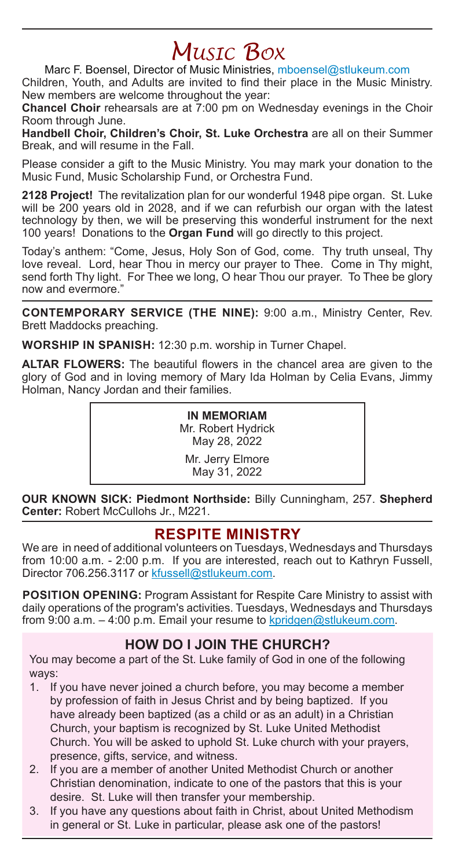# *Music Box*

Marc F. Boensel, Director of Music Ministries, mboensel@stlukeum.com

Children, Youth, and Adults are invited to find their place in the Music Ministry. New members are welcome throughout the year:

**Chancel Choir** rehearsals are at 7:00 pm on Wednesday evenings in the Choir Room through June.

**Handbell Choir, Children's Choir, St. Luke Orchestra** are all on their Summer Break, and will resume in the Fall.

Please consider a gift to the Music Ministry. You may mark your donation to the Music Fund, Music Scholarship Fund, or Orchestra Fund.

**2128 Project!** The revitalization plan for our wonderful 1948 pipe organ. St. Luke will be 200 years old in 2028, and if we can refurbish our organ with the latest technology by then, we will be preserving this wonderful instrument for the next 100 years! Donations to the **Organ Fund** will go directly to this project.

Today's anthem: "Come, Jesus, Holy Son of God, come. Thy truth unseal, Thy love reveal. Lord, hear Thou in mercy our prayer to Thee. Come in Thy might, send forth Thy light. For Thee we long, O hear Thou our prayer. To Thee be glory now and evermore."

**CONTEMPORARY SERVICE (THE NINE):** 9:00 a.m., Ministry Center, Rev. Brett Maddocks preaching.

**WORSHIP IN SPANISH:** 12:30 p.m. worship in Turner Chapel.

**ALTAR FLOWERS:** The beautiful flowers in the chancel area are given to the glory of God and in loving memory of Mary Ida Holman by Celia Evans, Jimmy Holman, Nancy Jordan and their families.

> **IN MEMORIAM** Mr. Robert Hydrick May 28, 2022

Mr. Jerry Elmore May 31, 2022

**OUR KNOWN SICK: Piedmont Northside:** Billy Cunningham, 257. **Shepherd Center:** Robert McCullohs Jr., M221.

## **RESPITE MINISTRY**

We are in need of additional volunteers on Tuesdays, Wednesdays and Thursdays from 10:00 a.m. - 2:00 p.m. If you are interested, reach out to Kathryn Fussell, Director 706.256.3117 or kfussell@stlukeum.com.

**POSITION OPENING:** Program Assistant for Respite Care Ministry to assist with daily operations of the program's activities. Tuesdays, Wednesdays and Thursdays from 9:00 a.m.  $-4:00$  p.m. Email your resume to kpridgen@stlukeum.com.

### **HOW DO I JOIN THE CHURCH?**

You may become a part of the St. Luke family of God in one of the following ways:

- 1. If you have never joined a church before, you may become a member by profession of faith in Jesus Christ and by being baptized. If you have already been baptized (as a child or as an adult) in a Christian Church, your baptism is recognized by St. Luke United Methodist Church. You will be asked to uphold St. Luke church with your prayers, presence, gifts, service, and witness.
- 2. If you are a member of another United Methodist Church or another Christian denomination, indicate to one of the pastors that this is your desire. St. Luke will then transfer your membership.
- 3. If you have any questions about faith in Christ, about United Methodism in general or St. Luke in particular, please ask one of the pastors!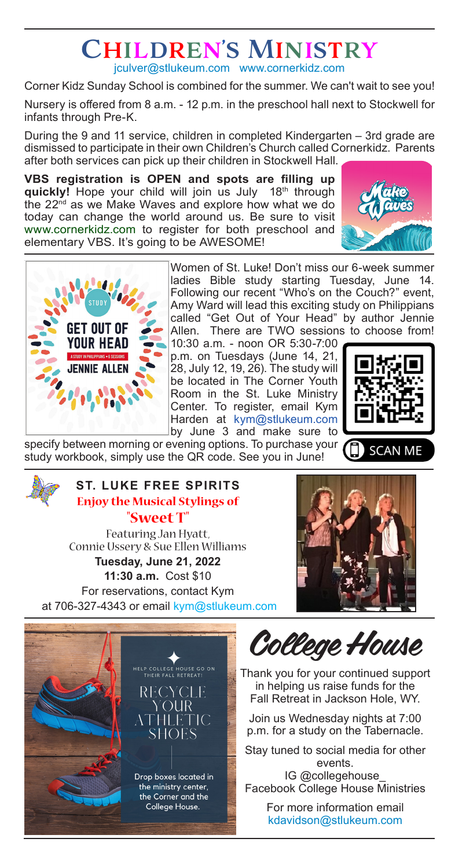## Children's Ministry jculver@stlukeum.com www.cornerkidz.com

Corner Kidz Sunday School is combined for the summer. We can't wait to see you!

Nursery is offered from 8 a.m. - 12 p.m. in the preschool hall next to Stockwell for infants through Pre-K.

During the 9 and 11 service, children in completed Kindergarten – 3rd grade are dismissed to participate in their own Children's Church called Cornerkidz. Parents after both services can pick up their children in Stockwell Hall.

**VBS registration is OPEN and spots are filling up quickly!** Hope your child will join us July 18th through the 22<sup>nd</sup> as we Make Waves and explore how what we do today can change the world around us. Be sure to visit www.cornerkidz.com to register for both preschool and elementary VBS. It's going to be AWESOME!





Women of St. Luke! Don't miss our 6-week summer ladies Bible study starting Tuesday, June 14. Following our recent "Who's on the Couch?" event, Amy Ward will lead this exciting study on Philippians called "Get Out of Your Head" by author Jennie Allen. There are TWO sessions to choose from!

10:30 a.m. - noon OR 5:30-7:00 p.m. on Tuesdays (June 14, 21, 28, July 12, 19, 26). The study will be located in The Corner Youth Room in the St. Luke Ministry Center. To register, email Kym Harden at kym@stlukeum.com by June 3 and make sure to



specify between morning or evening options. To purchase your study workbook, simply use the QR code. See you in June!

### **ST. LUKE FREE SPIRITS Enjoy the Musical Stylings of "Sweet T"** Featuring Jan Hyatt, Connie Ussery & Sue Ellen Williams **Tuesday, June 21, 2022**

**11:30 a.m.** Cost \$10 For reservations, contact Kym at 706-327-4343 or email kym@stlukeum.com





College House

Thank you for your continued support in helping us raise funds for the Fall Retreat in Jackson Hole, WY.

Join us Wednesday nights at 7:00 p.m. for a study on the Tabernacle.

Stay tuned to social media for other events.

IG @collegehouse\_ Facebook College House Ministries

> For more information email kdavidson@stlukeum.com